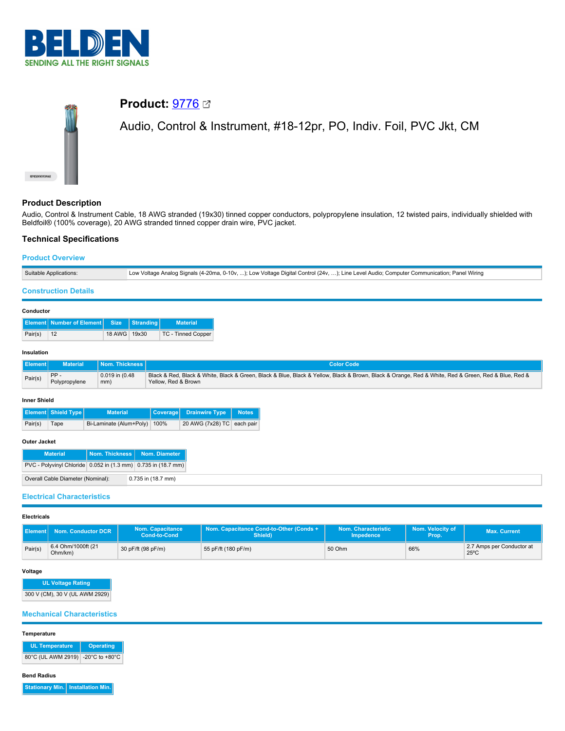

# **Product:** [9776](https://catalog.belden.com/index.cfm?event=pd&p=PF_9776&tab=downloads) Audio, Control & Instrument, #18-12pr, PO, Indiv. Foil, PVC Jkt, CM

# **Product Description**

Audio, Control & Instrument Cable, 18 AWG stranded (19x30) tinned copper conductors, polypropylene insulation, 12 twisted pairs, individually shielded with Beldfoil® (100% coverage), 20 AWG stranded tinned copper drain wire, PVC jacket.

# **Technical Specifications**

#### **Product Overview**

| Suitable Applications: |                                                                    |                         |           |                     |                            | Low Voltage Analog Signals (4-20ma, 0-10v, ); Low Voltage Digital Control (24v, ); Line Level Audio; Computer Communication; Panel Wiring                |  |  |
|------------------------|--------------------------------------------------------------------|-------------------------|-----------|---------------------|----------------------------|----------------------------------------------------------------------------------------------------------------------------------------------------------|--|--|
|                        | <b>Construction Details</b>                                        |                         |           |                     |                            |                                                                                                                                                          |  |  |
| Conductor              |                                                                    |                         |           |                     |                            |                                                                                                                                                          |  |  |
|                        | <b>Element   Number of Element</b>                                 | <b>Size</b>             | Stranding |                     | <b>Material</b>            |                                                                                                                                                          |  |  |
| Pair(s)                | 12                                                                 | 18 AWG                  | 19x30     |                     | <b>TC - Tinned Copper</b>  |                                                                                                                                                          |  |  |
|                        | Insulation                                                         |                         |           |                     |                            |                                                                                                                                                          |  |  |
| <b>Element</b>         | <b>Material</b>                                                    | Nom. Thickness          |           |                     |                            | <b>Color Code</b>                                                                                                                                        |  |  |
| Pair(s)                | PP-<br>0.019 in (0.48<br>Polypropylene<br>mm)                      |                         |           | Yellow, Red & Brown |                            | Black & Red, Black & White, Black & Green, Black & Blue, Black & Yellow, Black & Brown, Black & Orange, Red & White, Red & Green, Red & Blue, Red & Reck |  |  |
| <b>Inner Shield</b>    |                                                                    |                         |           |                     |                            |                                                                                                                                                          |  |  |
|                        | <b>Element Shield Type</b>                                         | <b>Material</b>         |           | <b>Coverage</b>     | <b>Drainwire Type</b>      | <b>Notes</b>                                                                                                                                             |  |  |
| Pair(s)                | Tape                                                               | Bi-Laminate (Alum+Poly) |           | 100%                | 20 AWG (7x28) TC each pair |                                                                                                                                                          |  |  |
| Outer Jacket           |                                                                    |                         |           |                     |                            |                                                                                                                                                          |  |  |
|                        | Nom. Thickness<br>Nom. Diameter<br><b>Material</b><br>$D100 - D11$ |                         |           |                     |                            |                                                                                                                                                          |  |  |

| PVC - Polyvinyl Chloride   0.052 in (1.3 mm)   0.735 in (18.7 mm) |                    |  |  |  |  |
|-------------------------------------------------------------------|--------------------|--|--|--|--|
| Overall Cable Diameter (Nominal):                                 | 0.735 in (18.7 mm) |  |  |  |  |
|                                                                   |                    |  |  |  |  |

## **Electrical Characteristics**

#### **Electricals**

|         | Nom. Conductor DCR            | <b>Nom. Capacitance</b><br><b>Cond-to-Cond</b> | Nom. Capacitance Cond-to-Other (Conds +<br>Shield) | Nom. Characteristic<br>Impedence | Nom. Velocity of<br>Prop. | <b>Max. Current</b>                         |
|---------|-------------------------------|------------------------------------------------|----------------------------------------------------|----------------------------------|---------------------------|---------------------------------------------|
| Pair(s) | 6.4 Ohm/1000ft (21<br>Ohm/km) | 30 pF/ft (98 pF/m)                             | 55 pF/ft (180 pF/m)                                | 50 Ohm                           | 66%                       | 2.7 Amps per Conductor at<br>$25^{\circ}$ C |

# **Voltage**

```
UL Voltage Rating
```

```
300 V (CM), 30 V (UL AWM 2929)
```
## **Mechanical Characteristics**

## **Temperature**

| UL Temperature                    | Operating |
|-----------------------------------|-----------|
| 80°C (UL AWM 2919) -20°C to +80°C |           |

#### **Bend Radius**

**Stationary Min. Installation Min.**